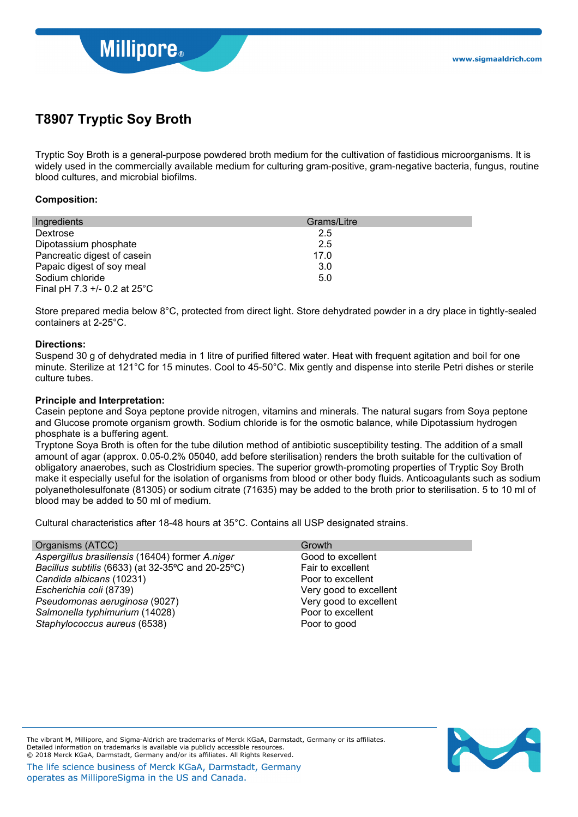

# **T8907 Tryptic Soy Broth**

Tryptic Soy Broth is a general-purpose powdered broth medium for the cultivation of fastidious microorganisms. It is widely used in the commercially available medium for culturing gram-positive, gram-negative bacteria, fungus, routine blood cultures, and microbial biofilms.

### **Composition:**

| Ingredients                       | Grams/Litre |
|-----------------------------------|-------------|
| Dextrose                          | 2.5         |
| Dipotassium phosphate             | 2.5         |
| Pancreatic digest of casein       | 17.0        |
| Papaic digest of soy meal         | 3.0         |
| Sodium chloride                   | 5.0         |
| Final pH 7.3 $+/-$ 0.2 at 25 $°C$ |             |

Store prepared media below 8°C, protected from direct light. Store dehydrated powder in a dry place in tightly-sealed containers at 2-25°C.

### **Directions:**

Suspend 30 g of dehydrated media in 1 litre of purified filtered water. Heat with frequent agitation and boil for one minute. Sterilize at 121°C for 15 minutes. Cool to 45-50°C. Mix gently and dispense into sterile Petri dishes or sterile culture tubes.

### **Principle and Interpretation:**

Casein peptone and Soya peptone provide nitrogen, vitamins and minerals. The natural sugars from Soya peptone and Glucose promote organism growth. Sodium chloride is for the osmotic balance, while Dipotassium hydrogen phosphate is a buffering agent.

Tryptone Soya Broth is often for the tube dilution method of antibiotic susceptibility testing. The addition of a small amount of agar (approx. 0.05-0.2% 05040, add before sterilisation) renders the broth suitable for the cultivation of obligatory anaerobes, such as Clostridium species. The superior growth-promoting properties of Tryptic Soy Broth make it especially useful for the isolation of organisms from blood or other body fluids. Anticoagulants such as sodium polyanetholesulfonate (81305) or sodium citrate (71635) may be added to the broth prior to sterilisation. 5 to 10 ml of blood may be added to 50 ml of medium.

Cultural characteristics after 18-48 hours at 35°C. Contains all USP designated strains.

| Organisms (ATCC)                                  | Growth                 |
|---------------------------------------------------|------------------------|
| Aspergillus brasiliensis (16404) former A.niger   | Good to excellent      |
| Bacillus subtilis (6633) (at 32-35°C and 20-25°C) | Fair to excellent      |
| Candida albicans (10231)                          | Poor to excellent      |
| Escherichia coli (8739)                           | Very good to excellent |
| Pseudomonas aeruginosa (9027)                     | Very good to excellent |
| Salmonella typhimurium (14028)                    | Poor to excellent      |
| Staphylococcus aureus (6538)                      | Poor to good           |



The vibrant M, Millipore, and Sigma-Aldrich are trademarks of Merck KGaA, Darmstadt, Germany or its affiliates. Detailed information on trademarks is available via publicly accessible resources. © 2018 Merck KGaA, Darmstadt, Germany and/or its affiliates. All Rights Reserved.

The life science business of Merck KGaA, Darmstadt, Germany operates as MilliporeSigma in the US and Canada.